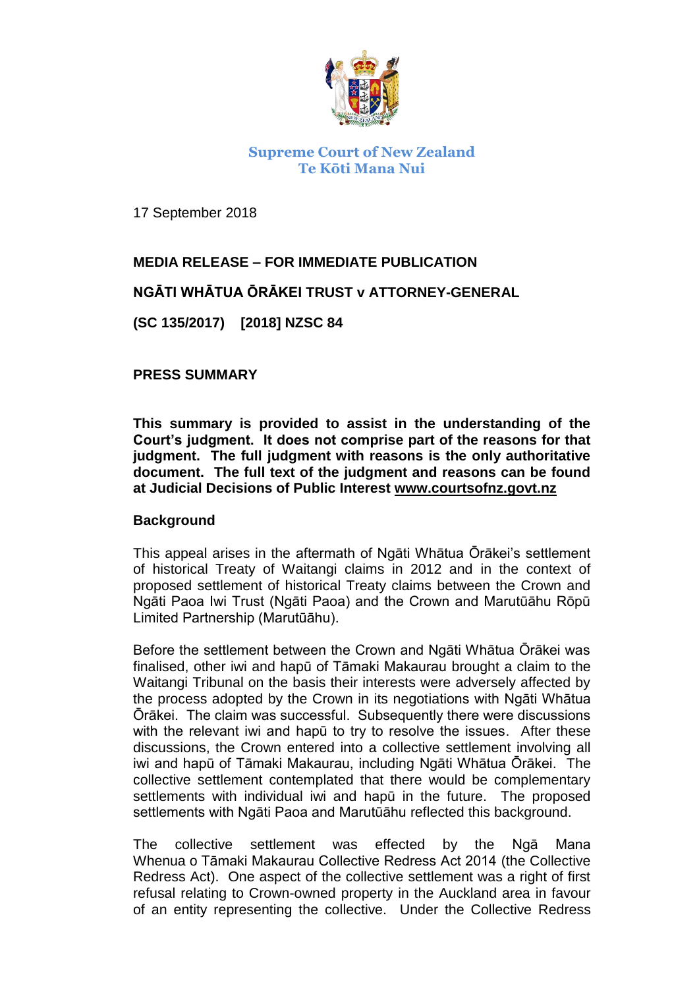

## **Supreme Court of New Zealand Te Kōti Mana Nui**

17 September 2018

# **MEDIA RELEASE – FOR IMMEDIATE PUBLICATION**

### **NGĀTI WHĀTUA ŌRĀKEI TRUST v ATTORNEY-GENERAL**

**(SC 135/2017) [2018] NZSC 84**

#### **PRESS SUMMARY**

**This summary is provided to assist in the understanding of the Court's judgment. It does not comprise part of the reasons for that judgment. The full judgment with reasons is the only authoritative document. The full text of the judgment and reasons can be found at Judicial Decisions of Public Interest www.courtsofnz.govt.nz**

#### **Background**

This appeal arises in the aftermath of Ngāti Whātua Ōrākei's settlement of historical Treaty of Waitangi claims in 2012 and in the context of proposed settlement of historical Treaty claims between the Crown and Ngāti Paoa Iwi Trust (Ngāti Paoa) and the Crown and Marutūāhu Rōpū Limited Partnership (Marutūāhu).

Before the settlement between the Crown and Ngāti Whātua Ōrākei was finalised, other iwi and hapū of Tāmaki Makaurau brought a claim to the Waitangi Tribunal on the basis their interests were adversely affected by the process adopted by the Crown in its negotiations with Ngāti Whātua Ōrākei. The claim was successful. Subsequently there were discussions with the relevant iwi and hapū to try to resolve the issues. After these discussions, the Crown entered into a collective settlement involving all iwi and hapū of Tāmaki Makaurau, including Ngāti Whātua Ōrākei. The collective settlement contemplated that there would be complementary settlements with individual iwi and hapū in the future. The proposed settlements with Ngāti Paoa and Marutūāhu reflected this background.

The collective settlement was effected by the Ngā Mana Whenua o Tāmaki Makaurau Collective Redress Act 2014 (the Collective Redress Act). One aspect of the collective settlement was a right of first refusal relating to Crown-owned property in the Auckland area in favour of an entity representing the collective. Under the Collective Redress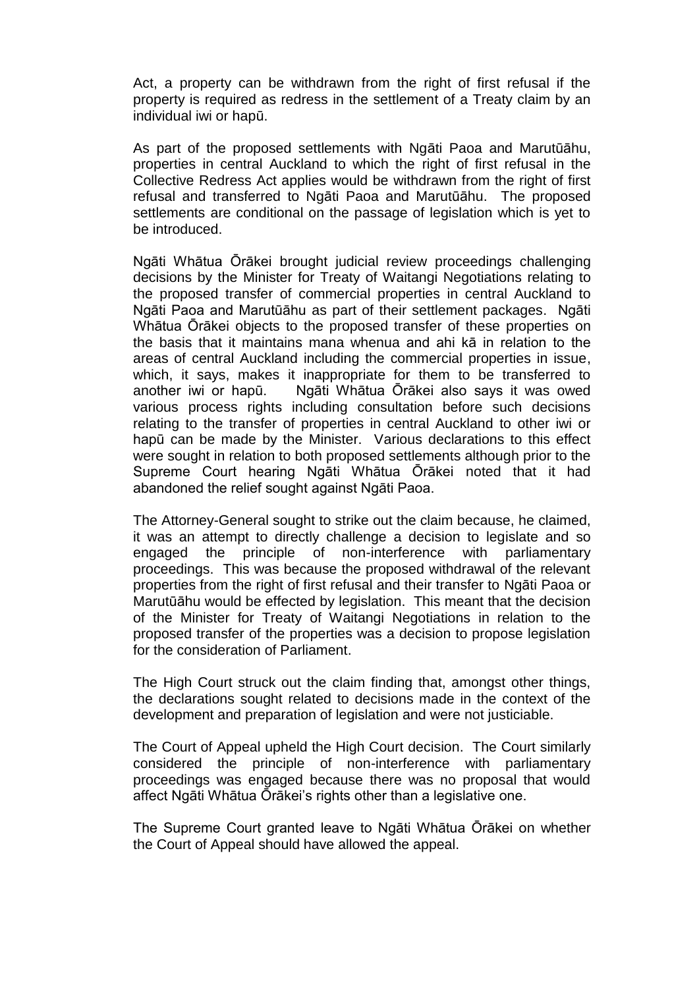Act, a property can be withdrawn from the right of first refusal if the property is required as redress in the settlement of a Treaty claim by an individual iwi or hapū.

As part of the proposed settlements with Ngāti Paoa and Marutūāhu, properties in central Auckland to which the right of first refusal in the Collective Redress Act applies would be withdrawn from the right of first refusal and transferred to Ngāti Paoa and Marutūāhu. The proposed settlements are conditional on the passage of legislation which is yet to be introduced.

Ngāti Whātua Ōrākei brought judicial review proceedings challenging decisions by the Minister for Treaty of Waitangi Negotiations relating to the proposed transfer of commercial properties in central Auckland to Ngāti Paoa and Marutūāhu as part of their settlement packages. Ngāti Whātua Ōrākei objects to the proposed transfer of these properties on the basis that it maintains mana whenua and ahi kā in relation to the areas of central Auckland including the commercial properties in issue, which, it says, makes it inappropriate for them to be transferred to another iwi or hapū. Ngāti Whātua Ōrākei also says it was owed various process rights including consultation before such decisions relating to the transfer of properties in central Auckland to other iwi or hapū can be made by the Minister. Various declarations to this effect were sought in relation to both proposed settlements although prior to the Supreme Court hearing Ngāti Whātua Ōrākei noted that it had abandoned the relief sought against Ngāti Paoa.

The Attorney-General sought to strike out the claim because, he claimed, it was an attempt to directly challenge a decision to legislate and so engaged the principle of non-interference with parliamentary proceedings. This was because the proposed withdrawal of the relevant properties from the right of first refusal and their transfer to Ngāti Paoa or Marutūāhu would be effected by legislation. This meant that the decision of the Minister for Treaty of Waitangi Negotiations in relation to the proposed transfer of the properties was a decision to propose legislation for the consideration of Parliament.

The High Court struck out the claim finding that, amongst other things, the declarations sought related to decisions made in the context of the development and preparation of legislation and were not justiciable.

The Court of Appeal upheld the High Court decision. The Court similarly considered the principle of non-interference with parliamentary proceedings was engaged because there was no proposal that would affect Ngāti Whātua Ōrākei's rights other than a legislative one.

The Supreme Court granted leave to Ngāti Whātua Ōrākei on whether the Court of Appeal should have allowed the appeal.